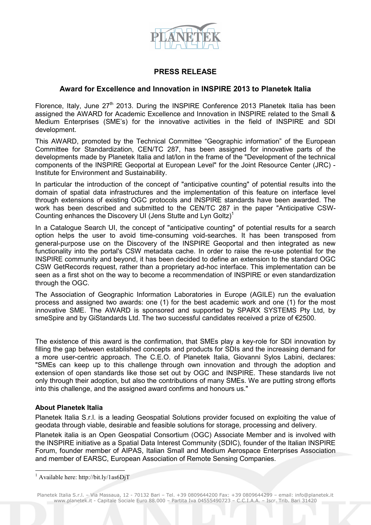

## **PRESS RELEASE**

## **Award for Excellence and Innovation in INSPIRE 2013 to Planetek Italia**

Florence, Italy, June  $27<sup>th</sup>$  2013. During the INSPIRE Conference 2013 Planetek Italia has been assigned the AWARD for Academic Excellence and Innovation in INSPIRE related to the Small & Medium Enterprises (SME's) for the innovative activities in the field of INSPIRE and SDI development.

This AWARD, promoted by the Technical Committee "Geographic information" of the European Committee for Standardization, CEN/TC 287, has been assigned for innovative parts of the developments made by Planetek Italia and lat/lon in the frame of the "Development of the technical components of the INSPIRE Geoportal at European Level" for the Joint Resource Center (JRC) - Institute for Environment and Sustainability.

In particular the introduction of the concept of "anticipative counting" of potential results into the domain of spatial data infrastructures and the implementation of this feature on interface level through extensions of existing OGC protocols and INSPIRE standards have been awarded. The work has been described and submitted to the CEN/TC 287 in the paper "Anticipative CSW-Counting enhances the Discovery UI (Jens Stutte and Lyn Goltz)<sup>1</sup>

In a Catalogue Search UI, the concept of "anticipative counting" of potential results for a search option helps the user to avoid time-consuming void-searches. It has been transposed from general-purpose use on the Discovery of the INSPIRE Geoportal and then integrated as new functionality into the portal's CSW metadata cache. In order to raise the re-use potential for the INSPIRE community and beyond, it has been decided to define an extension to the standard OGC CSW GetRecords request, rather than a proprietary ad-hoc interface. This implementation can be seen as a first shot on the way to become a recommendation of INSPIRE or even standardization through the OGC.

The Association of Geographic Information Laboratories in Europe (AGILE) run the evaluation process and assigned two awards: one (1) for the best academic work and one (1) for the most innovative SME. The AWARD is sponsored and supported by SPARX SYSTEMS Pty Ltd, by smeSpire and by GiStandards Ltd. The two successful candidates received a prize of €2500.

The existence of this award is the confirmation, that SMEs play a key-role for SDI innovation by filling the gap between established concepts and products for SDIs and the increasing demand for a more user-centric approach. The C.E.O. of Planetek Italia, Giovanni Sylos Labini, declares: "SMEs can keep up to this challenge through own innovation and through the adoption and extension of open standards like those set out by OGC and INSPIRE. These standards live not only through their adoption, but also the contributions of many SMEs. We are putting strong efforts into this challenge, and the assigned award confirms and honours us."

## **About Planetek Italia**

-

Planetek Italia S.r.l. is a leading Geospatial Solutions provider focused on exploiting the value of geodata through viable, desirable and feasible solutions for storage, processing and delivery.

Planetek italia is an Open Geospatial Consortium (OGC) Associate Member and is involved with the INSPIRE initiative as a Spatial Data Interest Community (SDIC), founder of the Italian INSPIRE Forum, founder member of AIPAS, Italian Small and Medium Aerospace Enterprises Association and member of EARSC, European Association of Remote Sensing Companies.

Planetek Italia S.r.l. – Via Massaua, 12 - 70132 Bari – Tel. +39 0809644200 Fax: +39 0809644299 – email: info@planetek.it www.planetek.it - Capitale Sociale Euro 88.000 – Partita Iva 04555490723 – C.C.I.A.A. – Iscr. Trib. Bari 31420

<sup>&</sup>lt;sup>1</sup> Available here: http://bit.ly/1as6DjT